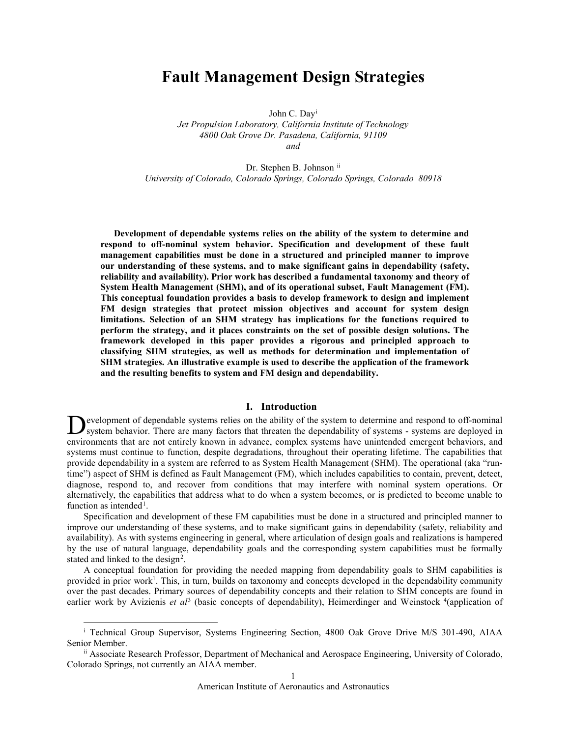# **Fault Management Design Strategies**

John C. Day[i](#page-0-0)

*Jet Propulsion Laboratory, California Institute of Technology 4800 Oak Grove Dr. Pasadena, California, 91109 and*

Dr. Stephen B. Johnson [ii](#page-0-1) *University of Colorado, Colorado Springs, Colorado Springs, Colorado 80918*

**Development of dependable systems relies on the ability of the system to determine and respond to off-nominal system behavior. Specification and development of these fault management capabilities must be done in a structured and principled manner to improve our understanding of these systems, and to make significant gains in dependability (safety, reliability and availability). Prior work has described a fundamental taxonomy and theory of System Health Management (SHM), and of its operational subset, Fault Management (FM). This conceptual foundation provides a basis to develop framework to design and implement FM design strategies that protect mission objectives and account for system design limitations. Selection of an SHM strategy has implications for the functions required to perform the strategy, and it places constraints on the set of possible design solutions. The framework developed in this paper provides a rigorous and principled approach to classifying SHM strategies, as well as methods for determination and implementation of SHM strategies. An illustrative example is used to describe the application of the framework and the resulting benefits to system and FM design and dependability.** 

# **I. Introduction**

evelopment of dependable systems relies on the ability of the system to determine and respond to off-nominal system behavior. There are many factors that threaten the dependability of systems - systems are deployed in Development of dependable systems relies on the ability of the system to determine and respond to off-nominal system behavior. There are many factors that threaten the dependability of systems - systems are deployed in env systems must continue to function, despite degradations, throughout their operating lifetime. The capabilities that provide dependability in a system are referred to as System Health Management (SHM). The operational (aka "runtime") aspect of SHM is defined as Fault Management (FM), which includes capabilities to contain, prevent, detect, diagnose, respond to, and recover from conditions that may interfere with nominal system operations. Or alternatively, the capabilities that address what to do when a system becomes, or is predicted to become unable to function as intended<sup>[1](#page-10-0)</sup>.

Specification and development of these FM capabilities must be done in a structured and principled manner to improve our understanding of these systems, and to make significant gains in dependability (safety, reliability and availability). As with systems engineering in general, where articulation of design goals and realizations is hampered by the use of natural language, dependability goals and the corresponding system capabilities must be formally stated and linked to the design<sup>[2](#page-10-1)</sup>.

A conceptual foundation for providing the needed mapping from dependability goals to SHM capabilities is provided in prior work<sup>1</sup>. This, in turn, builds on taxonomy and concepts developed in the dependability community over the past decades. Primary sources of dependability concepts and their relation to SHM concepts are found in earlier work by Avizienis et al<sup>[3](#page-10-2)</sup> (basic concepts of dependability), Heimerdinger and Weinstock <sup>[4](#page-10-3)</sup>(application of

 $\overline{a}$ 

<span id="page-0-0"></span><sup>i</sup> Technical Group Supervisor, Systems Engineering Section, 4800 Oak Grove Drive M/S 301-490, AIAA Senior Member.

<span id="page-0-1"></span>ii Associate Research Professor, Department of Mechanical and Aerospace Engineering, University of Colorado, Colorado Springs, not currently an AIAA member.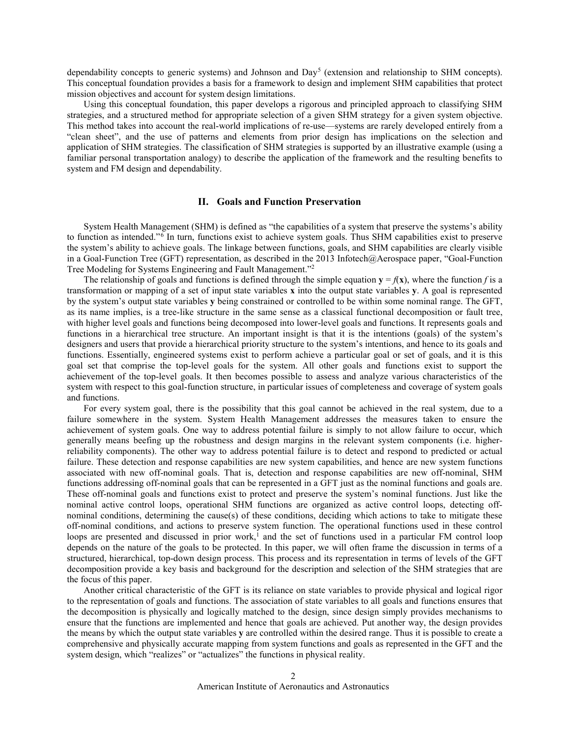dependability concepts to generic systems) and Johnson and Day<sup>[5](#page-10-4)</sup> (extension and relationship to SHM concepts). This conceptual foundation provides a basis for a framework to design and implement SHM capabilities that protect mission objectives and account for system design limitations.

Using this conceptual foundation, this paper develops a rigorous and principled approach to classifying SHM strategies, and a structured method for appropriate selection of a given SHM strategy for a given system objective. This method takes into account the real-world implications of re-use—systems are rarely developed entirely from a "clean sheet", and the use of patterns and elements from prior design has implications on the selection and application of SHM strategies. The classification of SHM strategies is supported by an illustrative example (using a familiar personal transportation analogy) to describe the application of the framework and the resulting benefits to system and FM design and dependability.

## **II. Goals and Function Preservation**

System Health Management (SHM) is defined as "the capabilities of a system that preserve the systems's ability to function as intended."[6](#page-10-5) In turn, functions exist to achieve system goals. Thus SHM capabilities exist to preserve the system's ability to achieve goals. The linkage between functions, goals, and SHM capabilities are clearly visible in a Goal-Function Tree (GFT) representation, as described in the 2013 Infotech@Aerospace paper, "Goal-Function Tree Modeling for Systems Engineering and Fault Management."<sup>2</sup>

The relationship of goals and functions is defined through the simple equation  $\mathbf{v} = f(\mathbf{x})$ , where the function f is a transformation or mapping of a set of input state variables **x** into the output state variables **y**. A goal is represented by the system's output state variables **y** being constrained or controlled to be within some nominal range. The GFT, as its name implies, is a tree-like structure in the same sense as a classical functional decomposition or fault tree, with higher level goals and functions being decomposed into lower-level goals and functions. It represents goals and functions in a hierarchical tree structure. An important insight is that it is the intentions (goals) of the system's designers and users that provide a hierarchical priority structure to the system's intentions, and hence to its goals and functions. Essentially, engineered systems exist to perform achieve a particular goal or set of goals, and it is this goal set that comprise the top-level goals for the system. All other goals and functions exist to support the achievement of the top-level goals. It then becomes possible to assess and analyze various characteristics of the system with respect to this goal-function structure, in particular issues of completeness and coverage of system goals and functions.

For every system goal, there is the possibility that this goal cannot be achieved in the real system, due to a failure somewhere in the system. System Health Management addresses the measures taken to ensure the achievement of system goals. One way to address potential failure is simply to not allow failure to occur, which generally means beefing up the robustness and design margins in the relevant system components (i.e. higherreliability components). The other way to address potential failure is to detect and respond to predicted or actual failure. These detection and response capabilities are new system capabilities, and hence are new system functions associated with new off-nominal goals. That is, detection and response capabilities are new off-nominal, SHM functions addressing off-nominal goals that can be represented in a GFT just as the nominal functions and goals are. These off-nominal goals and functions exist to protect and preserve the system's nominal functions. Just like the nominal active control loops, operational SHM functions are organized as active control loops, detecting offnominal conditions, determining the cause(s) of these conditions, deciding which actions to take to mitigate these off-nominal conditions, and actions to preserve system function. The operational functions used in these control loops are presented and discussed in prior work,<sup>1</sup> and the set of functions used in a particular FM control loop depends on the nature of the goals to be protected. In this paper, we will often frame the discussion in terms of a structured, hierarchical, top-down design process. This process and its representation in terms of levels of the GFT decomposition provide a key basis and background for the description and selection of the SHM strategies that are the focus of this paper.

Another critical characteristic of the GFT is its reliance on state variables to provide physical and logical rigor to the representation of goals and functions. The association of state variables to all goals and functions ensures that the decomposition is physically and logically matched to the design, since design simply provides mechanisms to ensure that the functions are implemented and hence that goals are achieved. Put another way, the design provides the means by which the output state variables **y** are controlled within the desired range. Thus it is possible to create a comprehensive and physically accurate mapping from system functions and goals as represented in the GFT and the system design, which "realizes" or "actualizes" the functions in physical reality.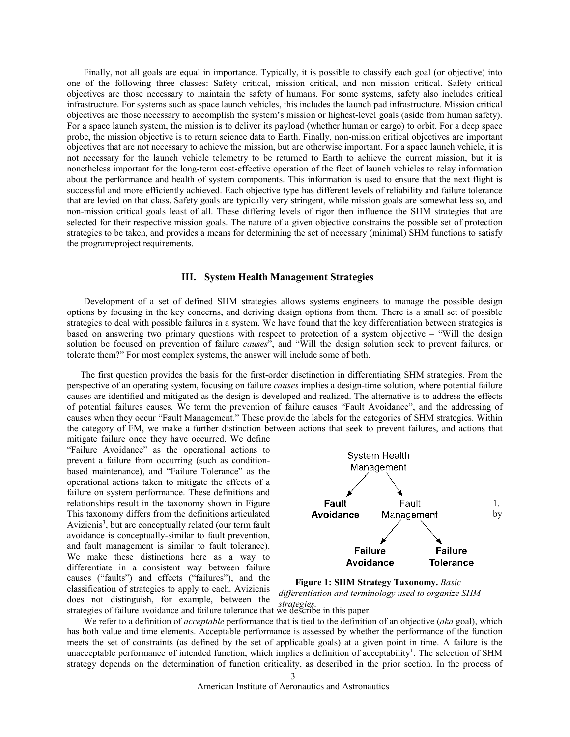Finally, not all goals are equal in importance. Typically, it is possible to classify each goal (or objective) into one of the following three classes: Safety critical, mission critical, and non–mission critical. Safety critical objectives are those necessary to maintain the safety of humans. For some systems, safety also includes critical infrastructure. For systems such as space launch vehicles, this includes the launch pad infrastructure. Mission critical objectives are those necessary to accomplish the system's mission or highest-level goals (aside from human safety). For a space launch system, the mission is to deliver its payload (whether human or cargo) to orbit. For a deep space probe, the mission objective is to return science data to Earth. Finally, non-mission critical objectives are important objectives that are not necessary to achieve the mission, but are otherwise important. For a space launch vehicle, it is not necessary for the launch vehicle telemetry to be returned to Earth to achieve the current mission, but it is nonetheless important for the long-term cost-effective operation of the fleet of launch vehicles to relay information about the performance and health of system components. This information is used to ensure that the next flight is successful and more efficiently achieved. Each objective type has different levels of reliability and failure tolerance that are levied on that class. Safety goals are typically very stringent, while mission goals are somewhat less so, and non-mission critical goals least of all. These differing levels of rigor then influence the SHM strategies that are selected for their respective mission goals. The nature of a given objective constrains the possible set of protection strategies to be taken, and provides a means for determining the set of necessary (minimal) SHM functions to satisfy the program/project requirements.

## **III. System Health Management Strategies**

Development of a set of defined SHM strategies allows systems engineers to manage the possible design options by focusing in the key concerns, and deriving design options from them. There is a small set of possible strategies to deal with possible failures in a system. We have found that the key differentiation between strategies is based on answering two primary questions with respect to protection of a system objective – "Will the design solution be focused on prevention of failure *causes*", and "Will the design solution seek to prevent failures, or tolerate them?" For most complex systems, the answer will include some of both.

The first question provides the basis for the first-order disctinction in differentiating SHM strategies. From the perspective of an operating system, focusing on failure *causes* implies a design-time solution, where potential failure causes are identified and mitigated as the design is developed and realized. The alternative is to address the effects of potential failures causes. We term the prevention of failure causes "Fault Avoidance", and the addressing of causes when they occur "Fault Management." These provide the labels for the categories of SHM strategies. Within the category of FM, we make a further distinction between actions that seek to prevent failures, and actions that

mitigate failure once they have occurred. We define "Failure Avoidance" as the operational actions to prevent a failure from occurring (such as conditionbased maintenance), and "Failure Tolerance" as the operational actions taken to mitigate the effects of a failure on system performance. These definitions and Avizienis<sup>3</sup>, but are conceptually related (our term fault avoidance is conceptually-similar to fault prevention, and fault management is similar to fault tolerance). We make these distinctions here as a way to differentiate in a consistent way between failure causes ("faults") and effects ("failures"), and the classification of strategies to apply to each. Avizienis does not distinguish, for example, between the about a unify the strategies.<br> *strategies* of failure avoidance and failure tolerance that we describe in this paper.





We refer to a definition of *acceptable* performance that is tied to the definition of an objective (*aka* goal), which has both value and time elements. Acceptable performance is assessed by whether the performance of the function meets the set of constraints (as defined by the set of applicable goals) at a given point in time. A failure is the unacceptable performance of intended function, which implies a definition of acceptability<sup>1</sup>. The selection of SHM strategy depends on the determination of function criticality, as described in the prior section. In the process of

American Institute of Aeronautics and Astronautics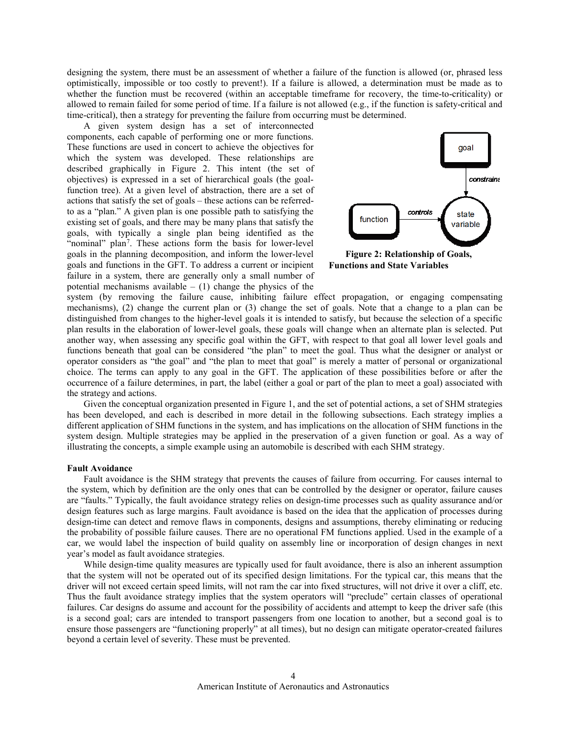designing the system, there must be an assessment of whether a failure of the function is allowed (or, phrased less optimistically, impossible or too costly to prevent!). If a failure is allowed, a determination must be made as to whether the function must be recovered (within an acceptable timeframe for recovery, the time-to-criticality) or allowed to remain failed for some period of time. If a failure is not allowed (e.g., if the function is safety-critical and time-critical), then a strategy for preventing the failure from occurring must be determined.

A given system design has a set of interconnected components, each capable of performing one or more functions. These functions are used in concert to achieve the objectives for which the system was developed. These relationships are described graphically in Figure 2. This intent (the set of objectives) is expressed in a set of hierarchical goals (the goalfunction tree). At a given level of abstraction, there are a set of actions that satisfy the set of goals – these actions can be referredto as a "plan." A given plan is one possible path to satisfying the existing set of goals, and there may be many plans that satisfy the goals, with typically a single plan being identified as the "nominal" plan<sup>[7](#page-10-6)</sup>. These actions form the basis for lower-level goals in the planning decomposition, and inform the lower-level goals and functions in the GFT. To address a current or incipient failure in a system, there are generally only a small number of potential mechanisms available  $- (1)$  change the physics of the



**Figure 2: Relationship of Goals, Functions and State Variables**

system (by removing the failure cause, inhibiting failure effect propagation, or engaging compensating mechanisms), (2) change the current plan or (3) change the set of goals. Note that a change to a plan can be distinguished from changes to the higher-level goals it is intended to satisfy, but because the selection of a specific plan results in the elaboration of lower-level goals, these goals will change when an alternate plan is selected. Put another way, when assessing any specific goal within the GFT, with respect to that goal all lower level goals and functions beneath that goal can be considered "the plan" to meet the goal. Thus what the designer or analyst or operator considers as "the goal" and "the plan to meet that goal" is merely a matter of personal or organizational choice. The terms can apply to any goal in the GFT. The application of these possibilities before or after the occurrence of a failure determines, in part, the label (either a goal or part of the plan to meet a goal) associated with the strategy and actions.

Given the conceptual organization presented in Figure 1, and the set of potential actions, a set of SHM strategies has been developed, and each is described in more detail in the following subsections. Each strategy implies a different application of SHM functions in the system, and has implications on the allocation of SHM functions in the system design. Multiple strategies may be applied in the preservation of a given function or goal. As a way of illustrating the concepts, a simple example using an automobile is described with each SHM strategy.

#### **Fault Avoidance**

Fault avoidance is the SHM strategy that prevents the causes of failure from occurring. For causes internal to the system, which by definition are the only ones that can be controlled by the designer or operator, failure causes are "faults." Typically, the fault avoidance strategy relies on design-time processes such as quality assurance and/or design features such as large margins. Fault avoidance is based on the idea that the application of processes during design-time can detect and remove flaws in components, designs and assumptions, thereby eliminating or reducing the probability of possible failure causes. There are no operational FM functions applied. Used in the example of a car, we would label the inspection of build quality on assembly line or incorporation of design changes in next year's model as fault avoidance strategies.

While design-time quality measures are typically used for fault avoidance, there is also an inherent assumption that the system will not be operated out of its specified design limitations. For the typical car, this means that the driver will not exceed certain speed limits, will not ram the car into fixed structures, will not drive it over a cliff, etc. Thus the fault avoidance strategy implies that the system operators will "preclude" certain classes of operational failures. Car designs do assume and account for the possibility of accidents and attempt to keep the driver safe (this is a second goal; cars are intended to transport passengers from one location to another, but a second goal is to ensure those passengers are "functioning properly" at all times), but no design can mitigate operator-created failures beyond a certain level of severity. These must be prevented.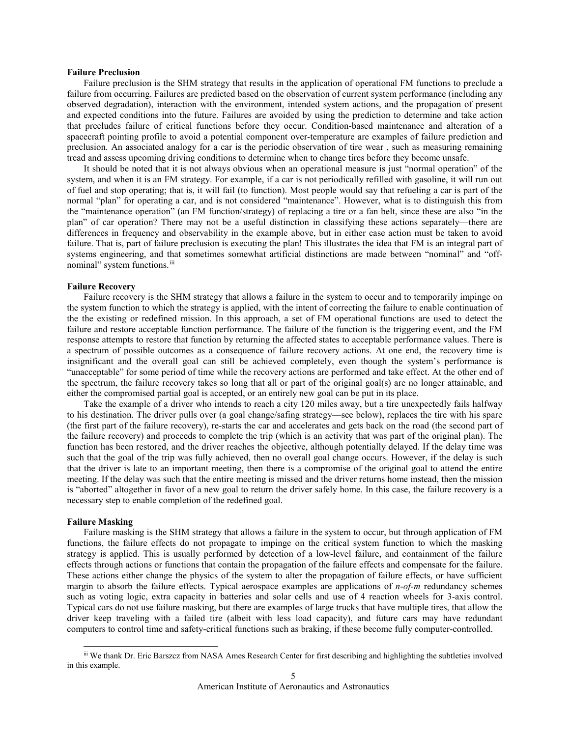## **Failure Preclusion**

Failure preclusion is the SHM strategy that results in the application of operational FM functions to preclude a failure from occurring. Failures are predicted based on the observation of current system performance (including any observed degradation), interaction with the environment, intended system actions, and the propagation of present and expected conditions into the future. Failures are avoided by using the prediction to determine and take action that precludes failure of critical functions before they occur. Condition-based maintenance and alteration of a spacecraft pointing profile to avoid a potential component over-temperature are examples of failure prediction and preclusion. An associated analogy for a car is the periodic observation of tire wear , such as measuring remaining tread and assess upcoming driving conditions to determine when to change tires before they become unsafe.

It should be noted that it is not always obvious when an operational measure is just "normal operation" of the system, and when it is an FM strategy. For example, if a car is not periodically refilled with gasoline, it will run out of fuel and stop operating; that is, it will fail (to function). Most people would say that refueling a car is part of the normal "plan" for operating a car, and is not considered "maintenance". However, what is to distinguish this from the "maintenance operation" (an FM function/strategy) of replacing a tire or a fan belt, since these are also "in the plan" of car operation? There may not be a useful distinction in classifying these actions separately—there are differences in frequency and observability in the example above, but in either case action must be taken to avoid failure. That is, part of failure preclusion is executing the plan! This illustrates the idea that FM is an integral part of systems engineering, and that sometimes somewhat artificial distinctions are made between "nominal" and "offnominal" system functions.<sup>iii</sup>

#### **Failure Recovery**

Failure recovery is the SHM strategy that allows a failure in the system to occur and to temporarily impinge on the system function to which the strategy is applied, with the intent of correcting the failure to enable continuation of the the existing or redefined mission. In this approach, a set of FM operational functions are used to detect the failure and restore acceptable function performance. The failure of the function is the triggering event, and the FM response attempts to restore that function by returning the affected states to acceptable performance values. There is a spectrum of possible outcomes as a consequence of failure recovery actions. At one end, the recovery time is insignificant and the overall goal can still be achieved completely, even though the system's performance is "unacceptable" for some period of time while the recovery actions are performed and take effect. At the other end of the spectrum, the failure recovery takes so long that all or part of the original goal(s) are no longer attainable, and either the compromised partial goal is accepted, or an entirely new goal can be put in its place.

Take the example of a driver who intends to reach a city 120 miles away, but a tire unexpectedly fails halfway to his destination. The driver pulls over (a goal change/safing strategy—see below), replaces the tire with his spare (the first part of the failure recovery), re-starts the car and accelerates and gets back on the road (the second part of the failure recovery) and proceeds to complete the trip (which is an activity that was part of the original plan). The function has been restored, and the driver reaches the objective, although potentially delayed. If the delay time was such that the goal of the trip was fully achieved, then no overall goal change occurs. However, if the delay is such that the driver is late to an important meeting, then there is a compromise of the original goal to attend the entire meeting. If the delay was such that the entire meeting is missed and the driver returns home instead, then the mission is "aborted" altogether in favor of a new goal to return the driver safely home. In this case, the failure recovery is a necessary step to enable completion of the redefined goal.

## **Failure Masking**

 $\overline{a}$ 

Failure masking is the SHM strategy that allows a failure in the system to occur, but through application of FM functions, the failure effects do not propagate to impinge on the critical system function to which the masking strategy is applied. This is usually performed by detection of a low-level failure, and containment of the failure effects through actions or functions that contain the propagation of the failure effects and compensate for the failure. These actions either change the physics of the system to alter the propagation of failure effects, or have sufficient margin to absorb the failure effects. Typical aerospace examples are applications of *n-of-m* redundancy schemes such as voting logic, extra capacity in batteries and solar cells and use of 4 reaction wheels for 3-axis control. Typical cars do not use failure masking, but there are examples of large trucks that have multiple tires, that allow the driver keep traveling with a failed tire (albeit with less load capacity), and future cars may have redundant computers to control time and safety-critical functions such as braking, if these become fully computer-controlled.

<span id="page-4-0"></span>iii We thank Dr. Eric Barszcz from NASA Ames Research Center for first describing and highlighting the subtleties involved in this example.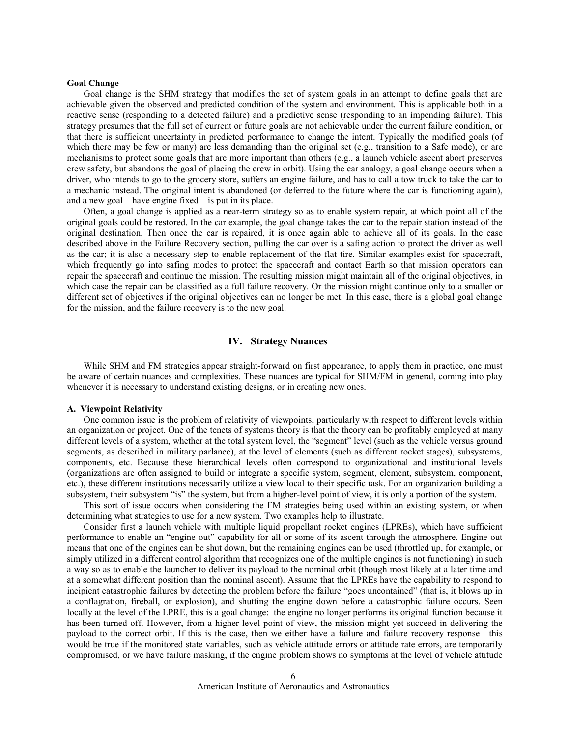#### **Goal Change**

Goal change is the SHM strategy that modifies the set of system goals in an attempt to define goals that are achievable given the observed and predicted condition of the system and environment. This is applicable both in a reactive sense (responding to a detected failure) and a predictive sense (responding to an impending failure). This strategy presumes that the full set of current or future goals are not achievable under the current failure condition, or that there is sufficient uncertainty in predicted performance to change the intent. Typically the modified goals (of which there may be few or many) are less demanding than the original set (e.g., transition to a Safe mode), or are mechanisms to protect some goals that are more important than others (e.g., a launch vehicle ascent abort preserves crew safety, but abandons the goal of placing the crew in orbit). Using the car analogy, a goal change occurs when a driver, who intends to go to the grocery store, suffers an engine failure, and has to call a tow truck to take the car to a mechanic instead. The original intent is abandoned (or deferred to the future where the car is functioning again), and a new goal—have engine fixed—is put in its place.

Often, a goal change is applied as a near-term strategy so as to enable system repair, at which point all of the original goals could be restored. In the car example, the goal change takes the car to the repair station instead of the original destination. Then once the car is repaired, it is once again able to achieve all of its goals. In the case described above in the Failure Recovery section, pulling the car over is a safing action to protect the driver as well as the car; it is also a necessary step to enable replacement of the flat tire. Similar examples exist for spacecraft, which frequently go into safing modes to protect the spacecraft and contact Earth so that mission operators can repair the spacecraft and continue the mission. The resulting mission might maintain all of the original objectives, in which case the repair can be classified as a full failure recovery. Or the mission might continue only to a smaller or different set of objectives if the original objectives can no longer be met. In this case, there is a global goal change for the mission, and the failure recovery is to the new goal.

#### **IV. Strategy Nuances**

While SHM and FM strategies appear straight-forward on first appearance, to apply them in practice, one must be aware of certain nuances and complexities. These nuances are typical for SHM/FM in general, coming into play whenever it is necessary to understand existing designs, or in creating new ones.

#### **A. Viewpoint Relativity**

One common issue is the problem of relativity of viewpoints, particularly with respect to different levels within an organization or project. One of the tenets of systems theory is that the theory can be profitably employed at many different levels of a system, whether at the total system level, the "segment" level (such as the vehicle versus ground segments, as described in military parlance), at the level of elements (such as different rocket stages), subsystems, components, etc. Because these hierarchical levels often correspond to organizational and institutional levels (organizations are often assigned to build or integrate a specific system, segment, element, subsystem, component, etc.), these different institutions necessarily utilize a view local to their specific task. For an organization building a subsystem, their subsystem "is" the system, but from a higher-level point of view, it is only a portion of the system.

This sort of issue occurs when considering the FM strategies being used within an existing system, or when determining what strategies to use for a new system. Two examples help to illustrate.

Consider first a launch vehicle with multiple liquid propellant rocket engines (LPREs), which have sufficient performance to enable an "engine out" capability for all or some of its ascent through the atmosphere. Engine out means that one of the engines can be shut down, but the remaining engines can be used (throttled up, for example, or simply utilized in a different control algorithm that recognizes one of the multiple engines is not functioning) in such a way so as to enable the launcher to deliver its payload to the nominal orbit (though most likely at a later time and at a somewhat different position than the nominal ascent). Assume that the LPREs have the capability to respond to incipient catastrophic failures by detecting the problem before the failure "goes uncontained" (that is, it blows up in a conflagration, fireball, or explosion), and shutting the engine down before a catastrophic failure occurs. Seen locally at the level of the LPRE, this is a goal change: the engine no longer performs its original function because it has been turned off. However, from a higher-level point of view, the mission might yet succeed in delivering the payload to the correct orbit. If this is the case, then we either have a failure and failure recovery response—this would be true if the monitored state variables, such as vehicle attitude errors or attitude rate errors, are temporarily compromised, or we have failure masking, if the engine problem shows no symptoms at the level of vehicle attitude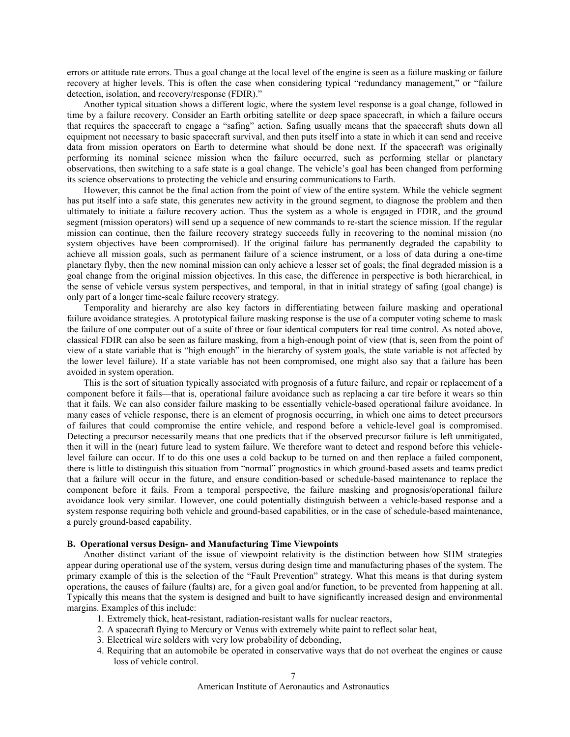errors or attitude rate errors. Thus a goal change at the local level of the engine is seen as a failure masking or failure recovery at higher levels. This is often the case when considering typical "redundancy management," or "failure detection, isolation, and recovery/response (FDIR)."

Another typical situation shows a different logic, where the system level response is a goal change, followed in time by a failure recovery. Consider an Earth orbiting satellite or deep space spacecraft, in which a failure occurs that requires the spacecraft to engage a "safing" action. Safing usually means that the spacecraft shuts down all equipment not necessary to basic spacecraft survival, and then puts itself into a state in which it can send and receive data from mission operators on Earth to determine what should be done next. If the spacecraft was originally performing its nominal science mission when the failure occurred, such as performing stellar or planetary observations, then switching to a safe state is a goal change. The vehicle's goal has been changed from performing its science observations to protecting the vehicle and ensuring communications to Earth.

However, this cannot be the final action from the point of view of the entire system. While the vehicle segment has put itself into a safe state, this generates new activity in the ground segment, to diagnose the problem and then ultimately to initiate a failure recovery action. Thus the system as a whole is engaged in FDIR, and the ground segment (mission operators) will send up a sequence of new commands to re-start the science mission. If the regular mission can continue, then the failure recovery strategy succeeds fully in recovering to the nominal mission (no system objectives have been compromised). If the original failure has permanently degraded the capability to achieve all mission goals, such as permanent failure of a science instrument, or a loss of data during a one-time planetary flyby, then the new nominal mission can only achieve a lesser set of goals; the final degraded mission is a goal change from the original mission objectives. In this case, the difference in perspective is both hierarchical, in the sense of vehicle versus system perspectives, and temporal, in that in initial strategy of safing (goal change) is only part of a longer time-scale failure recovery strategy.

Temporality and hierarchy are also key factors in differentiating between failure masking and operational failure avoidance strategies. A prototypical failure masking response is the use of a computer voting scheme to mask the failure of one computer out of a suite of three or four identical computers for real time control. As noted above, classical FDIR can also be seen as failure masking, from a high-enough point of view (that is, seen from the point of view of a state variable that is "high enough" in the hierarchy of system goals, the state variable is not affected by the lower level failure). If a state variable has not been compromised, one might also say that a failure has been avoided in system operation.

This is the sort of situation typically associated with prognosis of a future failure, and repair or replacement of a component before it fails—that is, operational failure avoidance such as replacing a car tire before it wears so thin that it fails. We can also consider failure masking to be essentially vehicle-based operational failure avoidance. In many cases of vehicle response, there is an element of prognosis occurring, in which one aims to detect precursors of failures that could compromise the entire vehicle, and respond before a vehicle-level goal is compromised. Detecting a precursor necessarily means that one predicts that if the observed precursor failure is left unmitigated, then it will in the (near) future lead to system failure. We therefore want to detect and respond before this vehiclelevel failure can occur. If to do this one uses a cold backup to be turned on and then replace a failed component, there is little to distinguish this situation from "normal" prognostics in which ground-based assets and teams predict that a failure will occur in the future, and ensure condition-based or schedule-based maintenance to replace the component before it fails. From a temporal perspective, the failure masking and prognosis/operational failure avoidance look very similar. However, one could potentially distinguish between a vehicle-based response and a system response requiring both vehicle and ground-based capabilities, or in the case of schedule-based maintenance, a purely ground-based capability.

## **B. Operational versus Design- and Manufacturing Time Viewpoints**

Another distinct variant of the issue of viewpoint relativity is the distinction between how SHM strategies appear during operational use of the system, versus during design time and manufacturing phases of the system. The primary example of this is the selection of the "Fault Prevention" strategy. What this means is that during system operations, the causes of failure (faults) are, for a given goal and/or function, to be prevented from happening at all. Typically this means that the system is designed and built to have significantly increased design and environmental margins. Examples of this include:

- 1. Extremely thick, heat-resistant, radiation-resistant walls for nuclear reactors,
- 2. A spacecraft flying to Mercury or Venus with extremely white paint to reflect solar heat,
- 3. Electrical wire solders with very low probability of debonding,
- 4. Requiring that an automobile be operated in conservative ways that do not overheat the engines or cause loss of vehicle control.

American Institute of Aeronautics and Astronautics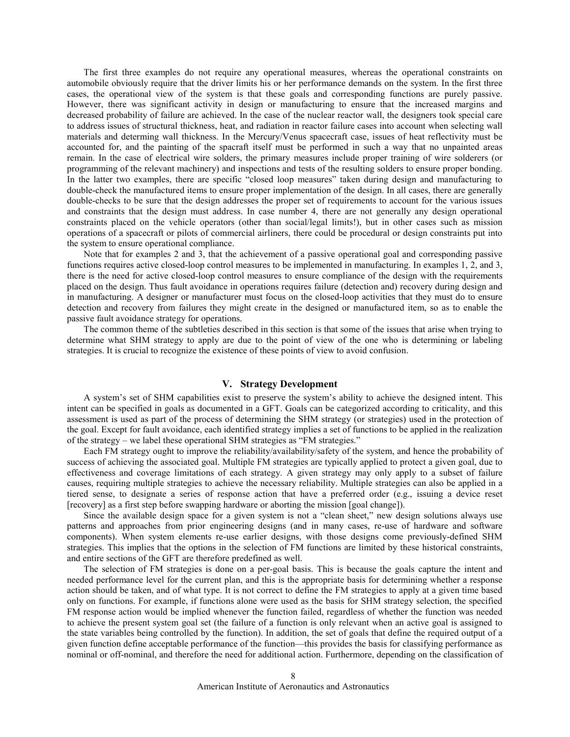The first three examples do not require any operational measures, whereas the operational constraints on automobile obviously require that the driver limits his or her performance demands on the system. In the first three cases, the operational view of the system is that these goals and corresponding functions are purely passive. However, there was significant activity in design or manufacturing to ensure that the increased margins and decreased probability of failure are achieved. In the case of the nuclear reactor wall, the designers took special care to address issues of structural thickness, heat, and radiation in reactor failure cases into account when selecting wall materials and determing wall thickness. In the Mercury/Venus spacecraft case, issues of heat reflectivity must be accounted for, and the painting of the spacraft itself must be performed in such a way that no unpainted areas remain. In the case of electrical wire solders, the primary measures include proper training of wire solderers (or programming of the relevant machinery) and inspections and tests of the resulting solders to ensure proper bonding. In the latter two examples, there are specific "closed loop measures" taken during design and manufacturing to double-check the manufactured items to ensure proper implementation of the design. In all cases, there are generally double-checks to be sure that the design addresses the proper set of requirements to account for the various issues and constraints that the design must address. In case number 4, there are not generally any design operational constraints placed on the vehicle operators (other than social/legal limits!), but in other cases such as mission operations of a spacecraft or pilots of commercial airliners, there could be procedural or design constraints put into the system to ensure operational compliance.

Note that for examples 2 and 3, that the achievement of a passive operational goal and corresponding passive functions requires active closed-loop control measures to be implemented in manufacturing. In examples 1, 2, and 3, there is the need for active closed-loop control measures to ensure compliance of the design with the requirements placed on the design. Thus fault avoidance in operations requires failure (detection and) recovery during design and in manufacturing. A designer or manufacturer must focus on the closed-loop activities that they must do to ensure detection and recovery from failures they might create in the designed or manufactured item, so as to enable the passive fault avoidance strategy for operations.

The common theme of the subtleties described in this section is that some of the issues that arise when trying to determine what SHM strategy to apply are due to the point of view of the one who is determining or labeling strategies. It is crucial to recognize the existence of these points of view to avoid confusion.

# **V. Strategy Development**

A system's set of SHM capabilities exist to preserve the system's ability to achieve the designed intent. This intent can be specified in goals as documented in a GFT. Goals can be categorized according to criticality, and this assessment is used as part of the process of determining the SHM strategy (or strategies) used in the protection of the goal. Except for fault avoidance, each identified strategy implies a set of functions to be applied in the realization of the strategy – we label these operational SHM strategies as "FM strategies."

Each FM strategy ought to improve the reliability/availability/safety of the system, and hence the probability of success of achieving the associated goal. Multiple FM strategies are typically applied to protect a given goal, due to effectiveness and coverage limitations of each strategy. A given strategy may only apply to a subset of failure causes, requiring multiple strategies to achieve the necessary reliability. Multiple strategies can also be applied in a tiered sense, to designate a series of response action that have a preferred order (e.g., issuing a device reset [recovery] as a first step before swapping hardware or aborting the mission [goal change]).

Since the available design space for a given system is not a "clean sheet," new design solutions always use patterns and approaches from prior engineering designs (and in many cases, re-use of hardware and software components). When system elements re-use earlier designs, with those designs come previously-defined SHM strategies. This implies that the options in the selection of FM functions are limited by these historical constraints, and entire sections of the GFT are therefore predefined as well.

The selection of FM strategies is done on a per-goal basis. This is because the goals capture the intent and needed performance level for the current plan, and this is the appropriate basis for determining whether a response action should be taken, and of what type. It is not correct to define the FM strategies to apply at a given time based only on functions. For example, if functions alone were used as the basis for SHM strategy selection, the specified FM response action would be implied whenever the function failed, regardless of whether the function was needed to achieve the present system goal set (the failure of a function is only relevant when an active goal is assigned to the state variables being controlled by the function). In addition, the set of goals that define the required output of a given function define acceptable performance of the function—this provides the basis for classifying performance as nominal or off-nominal, and therefore the need for additional action. Furthermore, depending on the classification of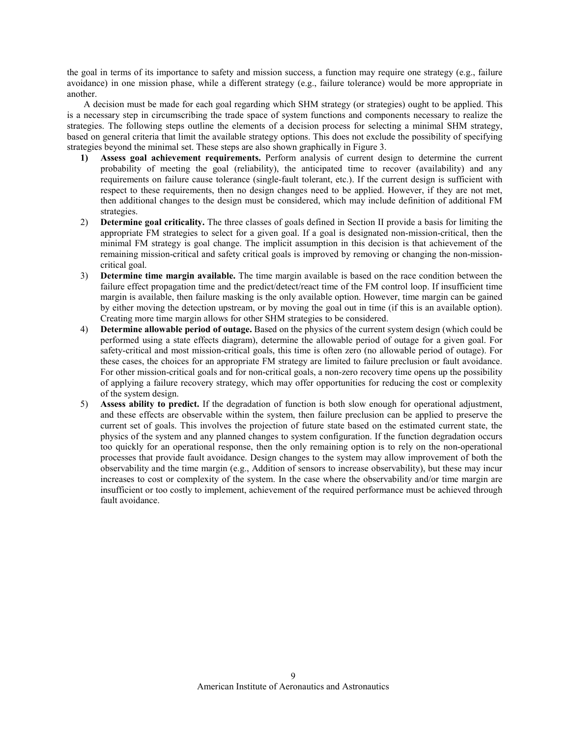the goal in terms of its importance to safety and mission success, a function may require one strategy (e.g., failure avoidance) in one mission phase, while a different strategy (e.g., failure tolerance) would be more appropriate in another.

A decision must be made for each goal regarding which SHM strategy (or strategies) ought to be applied. This is a necessary step in circumscribing the trade space of system functions and components necessary to realize the strategies. The following steps outline the elements of a decision process for selecting a minimal SHM strategy, based on general criteria that limit the available strategy options. This does not exclude the possibility of specifying strategies beyond the minimal set. These steps are also shown graphically in Figure 3.

- **1) Assess goal achievement requirements.** Perform analysis of current design to determine the current probability of meeting the goal (reliability), the anticipated time to recover (availability) and any requirements on failure cause tolerance (single-fault tolerant, etc.). If the current design is sufficient with respect to these requirements, then no design changes need to be applied. However, if they are not met, then additional changes to the design must be considered, which may include definition of additional FM strategies.
- 2) **Determine goal criticality.** The three classes of goals defined in Section II provide a basis for limiting the appropriate FM strategies to select for a given goal. If a goal is designated non-mission-critical, then the minimal FM strategy is goal change. The implicit assumption in this decision is that achievement of the remaining mission-critical and safety critical goals is improved by removing or changing the non-missioncritical goal.
- 3) **Determine time margin available.** The time margin available is based on the race condition between the failure effect propagation time and the predict/detect/react time of the FM control loop. If insufficient time margin is available, then failure masking is the only available option. However, time margin can be gained by either moving the detection upstream, or by moving the goal out in time (if this is an available option). Creating more time margin allows for other SHM strategies to be considered.
- 4) **Determine allowable period of outage.** Based on the physics of the current system design (which could be performed using a state effects diagram), determine the allowable period of outage for a given goal. For safety-critical and most mission-critical goals, this time is often zero (no allowable period of outage). For these cases, the choices for an appropriate FM strategy are limited to failure preclusion or fault avoidance. For other mission-critical goals and for non-critical goals, a non-zero recovery time opens up the possibility of applying a failure recovery strategy, which may offer opportunities for reducing the cost or complexity of the system design.
- 5) **Assess ability to predict.** If the degradation of function is both slow enough for operational adjustment, and these effects are observable within the system, then failure preclusion can be applied to preserve the current set of goals. This involves the projection of future state based on the estimated current state, the physics of the system and any planned changes to system configuration. If the function degradation occurs too quickly for an operational response, then the only remaining option is to rely on the non-operational processes that provide fault avoidance. Design changes to the system may allow improvement of both the observability and the time margin (e.g., Addition of sensors to increase observability), but these may incur increases to cost or complexity of the system. In the case where the observability and/or time margin are insufficient or too costly to implement, achievement of the required performance must be achieved through fault avoidance.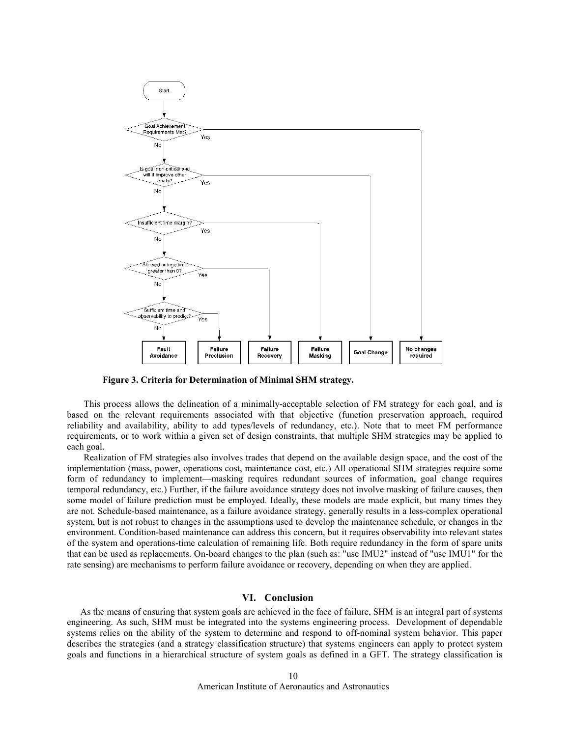

**Figure 3. Criteria for Determination of Minimal SHM strategy.**

This process allows the delineation of a minimally-acceptable selection of FM strategy for each goal, and is based on the relevant requirements associated with that objective (function preservation approach, required reliability and availability, ability to add types/levels of redundancy, etc.). Note that to meet FM performance requirements, or to work within a given set of design constraints, that multiple SHM strategies may be applied to each goal.

Realization of FM strategies also involves trades that depend on the available design space, and the cost of the implementation (mass, power, operations cost, maintenance cost, etc.) All operational SHM strategies require some form of redundancy to implement—masking requires redundant sources of information, goal change requires temporal redundancy, etc.) Further, if the failure avoidance strategy does not involve masking of failure causes, then some model of failure prediction must be employed. Ideally, these models are made explicit, but many times they are not. Schedule-based maintenance, as a failure avoidance strategy, generally results in a less-complex operational system, but is not robust to changes in the assumptions used to develop the maintenance schedule, or changes in the environment. Condition-based maintenance can address this concern, but it requires observability into relevant states of the system and operations-time calculation of remaining life. Both require redundancy in the form of spare units that can be used as replacements. On-board changes to the plan (such as: "use IMU2" instead of "use IMU1" for the rate sensing) are mechanisms to perform failure avoidance or recovery, depending on when they are applied.

# **VI. Conclusion**

As the means of ensuring that system goals are achieved in the face of failure, SHM is an integral part of systems engineering. As such, SHM must be integrated into the systems engineering process. Development of dependable systems relies on the ability of the system to determine and respond to off-nominal system behavior. This paper describes the strategies (and a strategy classification structure) that systems engineers can apply to protect system goals and functions in a hierarchical structure of system goals as defined in a GFT. The strategy classification is